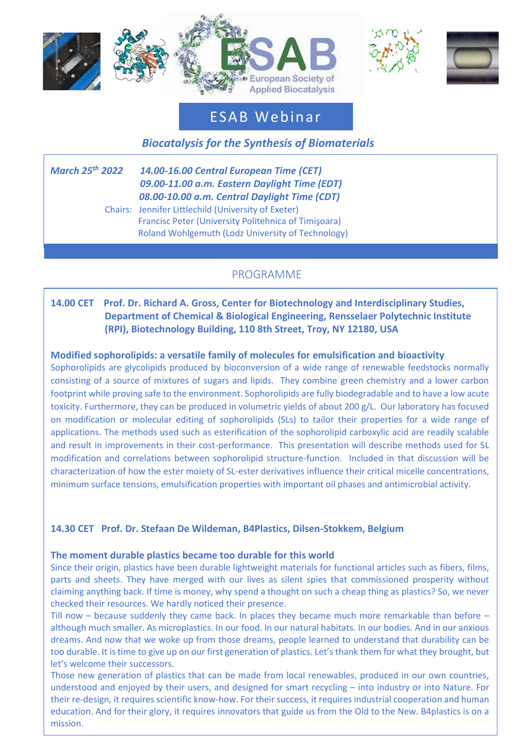





# ESAB Webinar

 *Biocatalysis for the Synthesis of Biomaterials*

*March 25 th 2022 14.00-16.00 Central European Time (CET) 09.00-11.00 a.m. Eastern Daylight Time (EDT) 08.00-10.00 a.m. Central Daylight Time (CDT)*

l

 Chairs: Jennifer Littlechild (University of Exeter) Francisc Peter (University Politehnica of Timişoara) Roland Wohlgemuth (Lodz University of Technology)

# PROGRAMME

# **14.00 CET Prof. Dr. Richard A. Gross, Center for Biotechnology and Interdisciplinary Studies, Department of Chemical & Biological Engineering, Rensselaer Polytechnic Institute (RPI), Biotechnology Building, 110 8th Street, Troy, NY 12180, USA**

# **Modified sophorolipids: a versatile family of molecules for emulsification and bioactivity**

Sophorolipids are glycolipids produced by bioconversion of a wide range of renewable feedstocks normally consisting of a source of mixtures of sugars and lipids. They combine green chemistry and a lower carbon footprint while proving safe to the environment. Sophorolipids are fully biodegradable and to have a low acute toxicity. Furthermore, they can be produced in volumetric yields of about 200 g/L. Our laboratory has focused on modification or molecular editing of sophorolipids (SLs) to tailor their properties for a wide range of applications. The methods used such as esterification of the sophorolipid carboxylic acid are readily scalable and result in improvements in their cost-performance. This presentation will describe methods used for SL modification and correlations between sophorolipid structure-function. Included in that discussion will be characterization of how the ester moiety of SL-ester derivatives influence their critical micelle concentrations, minimum surface tensions, emulsification properties with important oil phases and antimicrobial activity.

# **14.30 CET Prof. Dr. Stefaan De Wildeman, B4Plastics, Dilsen-Stokkem, Belgium**

#### **The moment durable plastics became too durable for this world**

Since their origin, plastics have been durable lightweight materials for functional articles such as fibers, films, parts and sheets. They have merged with our lives as silent spies that commissioned prosperity without claiming anything back. If time is money, why spend a thought on such a cheap thing as plastics? So, we never checked their resources. We hardly noticed their presence.

Till now – because suddenly they came back. In places they became much more remarkable than before – although much smaller. As microplastics. In our food. In our natural habitats. In our bodies. And in our anxious dreams. And now that we woke up from those dreams, people learned to understand that durability can be too durable. It is time to give up on our first generation of plastics. Let's thank them for what they brought, but let's welcome their successors.

Those new generation of plastics that can be made from local renewables, produced in our own countries, understood and enjoyed by their users, and designed for smart recycling – into industry or into Nature. For their re-design, it requires scientific know-how. For their success, it requires industrial cooperation and human education. And for their glory, it requires innovators that guide us from the Old to the New. B4plastics is on a mission.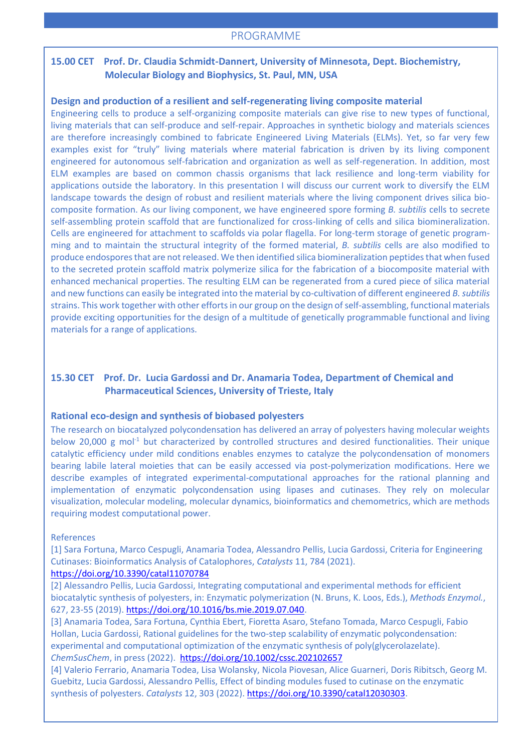### **15.00 CET Prof. Dr. Claudia Schmidt-Dannert, University of Minnesota, Dept. Biochemistry, Molecular Biology and Biophysics, St. Paul, MN, USA**

#### **Design and production of a resilient and self-regenerating living composite material**

Engineering cells to produce a self-organizing composite materials can give rise to new types of functional, living materials that can self-produce and self-repair. Approaches in synthetic biology and materials sciences are therefore increasingly combined to fabricate Engineered Living Materials (ELMs). Yet, so far very few examples exist for "truly" living materials where material fabrication is driven by its living component engineered for autonomous self-fabrication and organization as well as self-regeneration. In addition, most ELM examples are based on common chassis organisms that lack resilience and long-term viability for applications outside the laboratory. In this presentation I will discuss our current work to diversify the ELM landscape towards the design of robust and resilient materials where the living component drives silica biocomposite formation. As our living component, we have engineered spore forming *B. subtilis* cells to secrete self-assembling protein scaffold that are functionalized for cross-linking of cells and silica biomineralization. Cells are engineered for attachment to scaffolds via polar flagella. For long-term storage of genetic programming and to maintain the structural integrity of the formed material, *B. subtilis* cells are also modified to produce endospores that are not released. We then identified silica biomineralization peptides that when fused to the secreted protein scaffold matrix polymerize silica for the fabrication of a biocomposite material with enhanced mechanical properties. The resulting ELM can be regenerated from a cured piece of silica material and new functions can easily be integrated into the material by co-cultivation of different engineered *B. subtilis* strains. This work together with other efforts in our group on the design of self-assembling, functional materials provide exciting opportunities for the design of a multitude of genetically programmable functional and living materials for a range of applications.

#### **15.30 CET Prof. Dr. Lucia Gardossi and Dr. Anamaria Todea, Department of Chemical and Pharmaceutical Sciences, University of Trieste, Italy**

#### **Rational eco-design and synthesis of biobased polyesters**

The research on biocatalyzed polycondensation has delivered an array of polyesters having molecular weights below 20,000 g mol<sup>-1</sup> but characterized by controlled structures and desired functionalities. Their unique catalytic efficiency under mild conditions enables enzymes to catalyze the polycondensation of monomers bearing labile lateral moieties that can be easily accessed via post-polymerization modifications. Here we describe examples of integrated experimental-computational approaches for the rational planning and implementation of enzymatic polycondensation using lipases and cutinases. They rely on molecular visualization, molecular modeling, molecular dynamics, bioinformatics and chemometrics, which are methods requiring modest computational power.

#### References

[1] Sara Fortuna, Marco Cespugli, Anamaria Todea, Alessandro Pellis, Lucia Gardossi, Criteria for Engineering Cutinases: Bioinformatics Analysis of Catalophores, *Catalysts* 11, 784 (2021).

#### <https://doi.org/10.3390/catal11070784>

[2] Alessandro Pellis, Lucia Gardossi, Integrating computational and experimental methods for efficient biocatalytic synthesis of polyesters, in: Enzymatic polymerization (N. Bruns, K. Loos, Eds.), *Methods Enzymol.*, 627, 23-55 (2019). [https://doi.org/10.1016/bs.mie.2019.07.040.](https://doi.org/10.1016/bs.mie.2019.07.040)

[3] Anamaria Todea, Sara Fortuna, Cynthia Ebert, Fioretta Asaro, Stefano Tomada, Marco Cespugli, Fabio Hollan, Lucia Gardossi, Rational guidelines for the two-step scalability of enzymatic polycondensation: experimental and computational optimization of the enzymatic synthesis of poly(glycerolazelate). *ChemSusChem*, in press (2022).<https://doi.org/10.1002/cssc.202102657>

[4] Valerio Ferrario, Anamaria Todea, Lisa Wolansky, Nicola Piovesan, Alice Guarneri, Doris Ribitsch, Georg M. Guebitz, Lucia Gardossi, Alessandro Pellis, Effect of binding modules fused to cutinase on the enzymatic synthesis of polyesters. *Catalysts* 12, 303 (2022). [https://doi.org/10.3390/catal12030303.](https://doi.org/10.3390/catal12030303)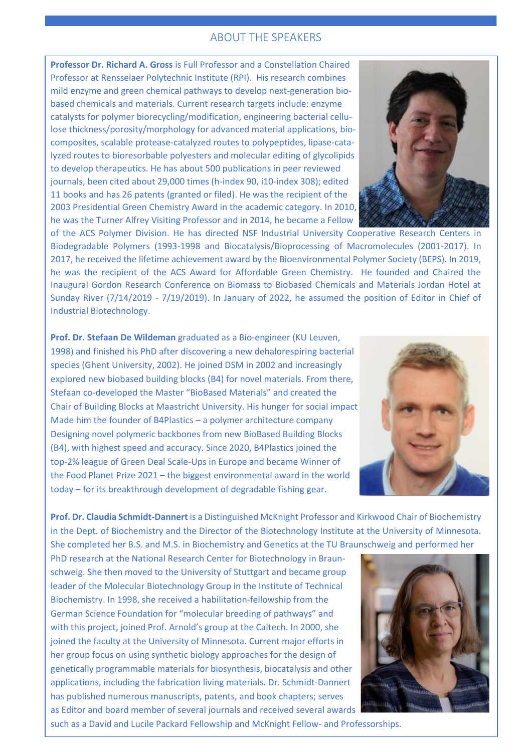#### ABOUT THE SPEAKERS

**Professor Dr. Richard A. Gross** is Full Professor and a Constellation Chaired Professor at Rensselaer Polytechnic Institute (RPI). His research combines mild enzyme and green chemical pathways to develop next-generation biobased chemicals and materials. Current research targets include: enzyme catalysts for polymer biorecycling/modification, engineering bacterial cellulose thickness/porosity/morphology for advanced material applications, biocomposites, scalable protease-catalyzed routes to polypeptides, lipase-catalyzed routes to bioresorbable polyesters and molecular editing of glycolipids to develop therapeutics. He has about 500 publications in peer reviewed journals, been cited about 29,000 times (h-index 90, i10-index 308); edited 11 books and has 26 patents (granted or filed). He was the recipient of the 2003 Presidential Green Chemistry Award in the academic category. In 2010, he was the Turner Alfrey Visiting Professor and in 2014, he became a Fellow



of the ACS Polymer Division. He has directed NSF Industrial University Cooperative Research Centers in Biodegradable Polymers (1993-1998 and Biocatalysis/Bioprocessing of Macromolecules (2001-2017). In 2017, he received the lifetime achievement award by the Bioenvironmental Polymer Society (BEPS). In 2019, he was the recipient of the ACS Award for Affordable Green Chemistry. He founded and Chaired the Inaugural Gordon Research Conference on Biomass to Biobased Chemicals and Materials Jordan Hotel at Sunday River (7/14/2019 - 7/19/2019). In January of 2022, he assumed the position of Editor in Chief of Industrial Biotechnology.

**Prof. Dr. Stefaan De Wildeman** graduated as a Bio-engineer (KU Leuven, 1998) and finished his PhD after discovering a new dehalorespiring bacterial species (Ghent University, 2002). He joined DSM in 2002 and increasingly explored new biobased building blocks (B4) for novel materials. From there, Stefaan co-developed the Master "BioBased Materials" and created the Chair of Building Blocks at Maastricht University. His hunger for social impact Made him the founder of B4Plastics – a polymer architecture company Designing novel polymeric backbones from new BioBased Building Blocks (B4), with highest speed and accuracy. Since 2020, B4Plastics joined the top-2% league of Green Deal Scale-Ups in Europe and became Winner of the Food Planet Prize 2021 – the biggest environmental award in the world today – for its breakthrough development of degradable fishing gear.



**Prof. Dr. Claudia Schmidt-Dannert** is a Distinguished McKnight Professor and Kirkwood Chair of Biochemistry in the Dept. of Biochemistry and the Director of the Biotechnology Institute at the University of Minnesota. She completed her B.S. and M.S. in Biochemistry and Genetics at the TU Braunschweig and performed her

PhD research at the National Research Center for Biotechnology in Braunschweig. She then moved to the University of Stuttgart and became group leader of the Molecular Biotechnology Group in the Institute of Technical Biochemistry. In 1998, she received a habilitation-fellowship from the German Science Foundation for "molecular breeding of pathways" and with this project, joined Prof. Arnold's group at the Caltech. In 2000, she joined the faculty at the University of Minnesota. Current major efforts in her group focus on using synthetic biology approaches for the design of genetically programmable materials for biosynthesis, biocatalysis and other applications, including the fabrication living materials. Dr. Schmidt-Dannert has published numerous manuscripts, patents, and book chapters; serves as Editor and board member of several journals and received several awards



such as a David and Lucile Packard Fellowship and McKnight Fellow- and Professorships.